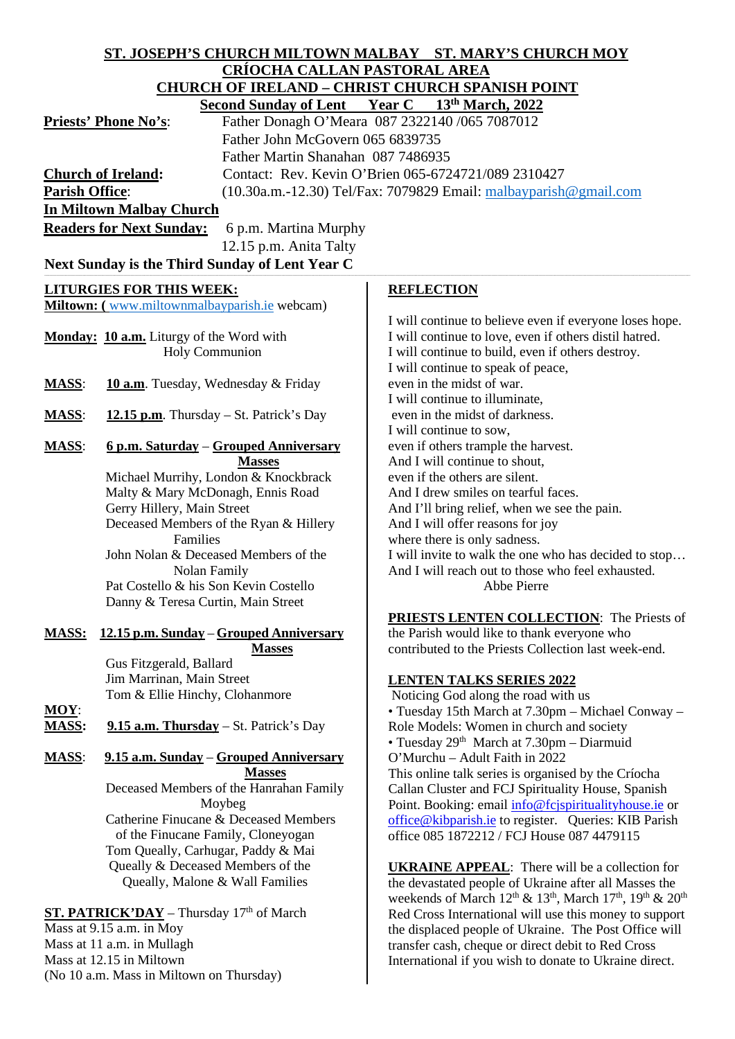| ST. JOSEPH'S CHURCH MILTOWN MALBAY ST. MARY'S CHURCH MOY                                                |                                                                      |                                                                                                                                                                               |  |  |
|---------------------------------------------------------------------------------------------------------|----------------------------------------------------------------------|-------------------------------------------------------------------------------------------------------------------------------------------------------------------------------|--|--|
| <u>CRÍOCHA CALLAN PASTORAL AREA</u>                                                                     |                                                                      |                                                                                                                                                                               |  |  |
| <b>CHURCH OF IRELAND - CHRIST CHURCH SPANISH POINT</b><br>Second Sunday of Lent Year C 13th March, 2022 |                                                                      |                                                                                                                                                                               |  |  |
|                                                                                                         | <b>Priests' Phone No's:</b>                                          | Father Donagh O'Meara 087 2322140 /065 7087012                                                                                                                                |  |  |
|                                                                                                         | Father John McGovern 065 6839735                                     |                                                                                                                                                                               |  |  |
|                                                                                                         | Father Martin Shanahan 087 7486935                                   |                                                                                                                                                                               |  |  |
|                                                                                                         | <b>Church of Ireland:</b>                                            | Contact: Rev. Kevin O'Brien 065-6724721/089 2310427                                                                                                                           |  |  |
| <b>Parish Office:</b>                                                                                   |                                                                      | (10.30a.m.-12.30) Tel/Fax: 7079829 Email: malbayparish@gmail.com                                                                                                              |  |  |
| <b>In Miltown Malbay Church</b>                                                                         |                                                                      |                                                                                                                                                                               |  |  |
| <b>Readers for Next Sunday:</b><br>6 p.m. Martina Murphy                                                |                                                                      |                                                                                                                                                                               |  |  |
|                                                                                                         | 12.15 p.m. Anita Talty                                               |                                                                                                                                                                               |  |  |
| Next Sunday is the Third Sunday of Lent Year C                                                          |                                                                      |                                                                                                                                                                               |  |  |
|                                                                                                         |                                                                      |                                                                                                                                                                               |  |  |
|                                                                                                         | <b>LITURGIES FOR THIS WEEK:</b>                                      | <b>REFLECTION</b>                                                                                                                                                             |  |  |
|                                                                                                         | Miltown: (www.miltownmalbayparish.ie webcam)                         | I will continue to believe even if everyone loses hope.                                                                                                                       |  |  |
|                                                                                                         | Monday: 10 a.m. Liturgy of the Word with                             | I will continue to love, even if others distil hatred.                                                                                                                        |  |  |
|                                                                                                         | <b>Holy Communion</b>                                                | I will continue to build, even if others destroy.                                                                                                                             |  |  |
|                                                                                                         |                                                                      | I will continue to speak of peace,                                                                                                                                            |  |  |
| <b>MASS:</b>                                                                                            | 10 a.m. Tuesday, Wednesday & Friday                                  | even in the midst of war.                                                                                                                                                     |  |  |
|                                                                                                         |                                                                      | I will continue to illuminate,                                                                                                                                                |  |  |
| <b>MASS:</b>                                                                                            | 12.15 p.m. Thursday – St. Patrick's Day                              | even in the midst of darkness.<br>I will continue to sow,                                                                                                                     |  |  |
| <b>MASS:</b>                                                                                            | 6 p.m. Saturday - Grouped Anniversary                                | even if others trample the harvest.                                                                                                                                           |  |  |
|                                                                                                         | <b>Masses</b>                                                        | And I will continue to shout,                                                                                                                                                 |  |  |
|                                                                                                         | Michael Murrihy, London & Knockbrack                                 | even if the others are silent.                                                                                                                                                |  |  |
|                                                                                                         | Malty & Mary McDonagh, Ennis Road                                    | And I drew smiles on tearful faces.                                                                                                                                           |  |  |
|                                                                                                         | Gerry Hillery, Main Street                                           | And I'll bring relief, when we see the pain.                                                                                                                                  |  |  |
|                                                                                                         | Deceased Members of the Ryan & Hillery<br>Families                   | And I will offer reasons for joy                                                                                                                                              |  |  |
|                                                                                                         | John Nolan & Deceased Members of the                                 | where there is only sadness.<br>I will invite to walk the one who has decided to stop                                                                                         |  |  |
|                                                                                                         | Nolan Family                                                         | And I will reach out to those who feel exhausted.                                                                                                                             |  |  |
|                                                                                                         | Pat Costello & his Son Kevin Costello                                | Abbe Pierre                                                                                                                                                                   |  |  |
|                                                                                                         | Danny & Teresa Curtin, Main Street                                   |                                                                                                                                                                               |  |  |
|                                                                                                         |                                                                      | PRIESTS LENTEN COLLECTION: The Priests of                                                                                                                                     |  |  |
| <b>MASS:</b>                                                                                            | 12.15 p.m. Sunday – Grouped Anniversary                              | the Parish would like to thank everyone who                                                                                                                                   |  |  |
|                                                                                                         | <b>Masses</b><br>Gus Fitzgerald, Ballard                             | contributed to the Priests Collection last week-end.                                                                                                                          |  |  |
|                                                                                                         | Jim Marrinan, Main Street                                            | <b>LENTEN TALKS SERIES 2022</b>                                                                                                                                               |  |  |
|                                                                                                         | Tom & Ellie Hinchy, Clohanmore                                       | Noticing God along the road with us                                                                                                                                           |  |  |
| $MOY$ :                                                                                                 |                                                                      | • Tuesday 15th March at 7.30pm - Michael Conway -                                                                                                                             |  |  |
| <b>MASS:</b>                                                                                            | 9.15 a.m. Thursday – St. Patrick's Day                               | Role Models: Women in church and society                                                                                                                                      |  |  |
|                                                                                                         |                                                                      | • Tuesday 29th March at 7.30pm - Diarmuid                                                                                                                                     |  |  |
| <b>MASS:</b>                                                                                            | 9.15 a.m. Sunday - Grouped Anniversary<br><b>Masses</b>              | O'Murchu - Adult Faith in 2022<br>This online talk series is organised by the Críocha                                                                                         |  |  |
|                                                                                                         | Deceased Members of the Hanrahan Family                              | Callan Cluster and FCJ Spirituality House, Spanish                                                                                                                            |  |  |
|                                                                                                         | Moybeg                                                               | Point. Booking: email info@fcjspiritualityhouse.ie or                                                                                                                         |  |  |
|                                                                                                         | Catherine Finucane & Deceased Members                                | office@kibparish.ie to register. Queries: KIB Parish                                                                                                                          |  |  |
|                                                                                                         | of the Finucane Family, Cloneyogan                                   | office 085 1872212 / FCJ House 087 4479115                                                                                                                                    |  |  |
|                                                                                                         | Tom Queally, Carhugar, Paddy & Mai                                   |                                                                                                                                                                               |  |  |
|                                                                                                         | Queally & Deceased Members of the<br>Queally, Malone & Wall Families | <b>UKRAINE APPEAL:</b> There will be a collection for                                                                                                                         |  |  |
|                                                                                                         |                                                                      | the devastated people of Ukraine after all Masses the<br>weekends of March 12 <sup>th</sup> & 13 <sup>th</sup> , March 17 <sup>th</sup> , 19 <sup>th</sup> & 20 <sup>th</sup> |  |  |
| ST. PATRICK'DAY - Thursday 17th of March                                                                |                                                                      | Red Cross International will use this money to support                                                                                                                        |  |  |
| Mass at 9.15 a.m. in Moy                                                                                |                                                                      | the displaced people of Ukraine. The Post Office will                                                                                                                         |  |  |
| Mass at 11 a.m. in Mullagh                                                                              |                                                                      | transfer cash, cheque or direct debit to Red Cross                                                                                                                            |  |  |
| Mass at 12.15 in Miltown                                                                                |                                                                      | International if you wish to donate to Ukraine direct.                                                                                                                        |  |  |
|                                                                                                         | (No 10 a.m. Mass in Miltown on Thursday)                             |                                                                                                                                                                               |  |  |